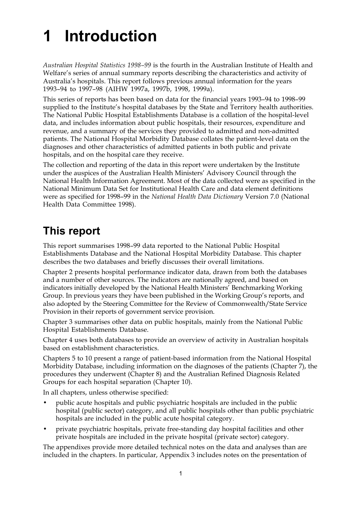# **1 Introduction**

*Australian Hospital Statistics 1998–99* is the fourth in the Australian Institute of Health and Welfare's series of annual summary reports describing the characteristics and activity of Australia's hospitals. This report follows previous annual information for the years 1993–94 to 1997–98 (AIHW 1997a, 1997b, 1998, 1999a).

This series of reports has been based on data for the financial years 1993–94 to 1998–99 supplied to the Institute's hospital databases by the State and Territory health authorities. The National Public Hospital Establishments Database is a collation of the hospital-level data, and includes information about public hospitals, their resources, expenditure and revenue, and a summary of the services they provided to admitted and non-admitted patients. The National Hospital Morbidity Database collates the patient-level data on the diagnoses and other characteristics of admitted patients in both public and private hospitals, and on the hospital care they receive.

The collection and reporting of the data in this report were undertaken by the Institute under the auspices of the Australian Health Ministers' Advisory Council through the National Health Information Agreement. Most of the data collected were as specified in the National Minimum Data Set for Institutional Health Care and data element definitions were as specified for 1998–99 in the *National Health Data Dictionary* Version 7.0 (National Health Data Committee 1998).

## **This report**

This report summarises 1998–99 data reported to the National Public Hospital Establishments Database and the National Hospital Morbidity Database. This chapter describes the two databases and briefly discusses their overall limitations.

Chapter 2 presents hospital performance indicator data, drawn from both the databases and a number of other sources. The indicators are nationally agreed, and based on indicators initially developed by the National Health Ministers' Benchmarking Working Group. In previous years they have been published in the Working Group's reports, and also adopted by the Steering Committee for the Review of Commonwealth/State Service Provision in their reports of government service provision.

Chapter 3 summarises other data on public hospitals, mainly from the National Public Hospital Establishments Database.

Chapter 4 uses both databases to provide an overview of activity in Australian hospitals based on establishment characteristics.

Chapters 5 to 10 present a range of patient-based information from the National Hospital Morbidity Database, including information on the diagnoses of the patients (Chapter 7), the procedures they underwent (Chapter 8) and the Australian Refined Diagnosis Related Groups for each hospital separation (Chapter 10).

In all chapters, unless otherwise specified:

- public acute hospitals and public psychiatric hospitals are included in the public hospital (public sector) category, and all public hospitals other than public psychiatric hospitals are included in the public acute hospital category.
- private psychiatric hospitals, private free-standing day hospital facilities and other private hospitals are included in the private hospital (private sector) category.

The appendixes provide more detailed technical notes on the data and analyses than are included in the chapters. In particular, Appendix 3 includes notes on the presentation of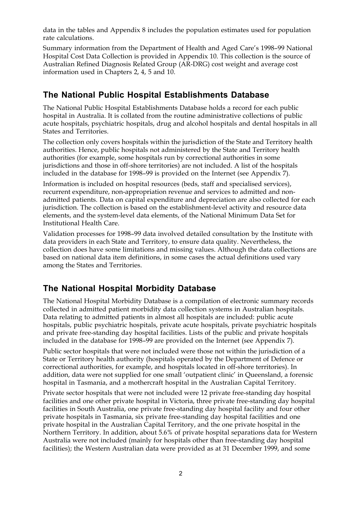data in the tables and Appendix 8 includes the population estimates used for population rate calculations.

Summary information from the Department of Health and Aged Care's 1998–99 National Hospital Cost Data Collection is provided in Appendix 10. This collection is the source of Australian Refined Diagnosis Related Group (AR-DRG) cost weight and average cost information used in Chapters 2, 4, 5 and 10.

#### **The National Public Hospital Establishments Database**

The National Public Hospital Establishments Database holds a record for each public hospital in Australia. It is collated from the routine administrative collections of public acute hospitals, psychiatric hospitals, drug and alcohol hospitals and dental hospitals in all States and Territories.

The collection only covers hospitals within the jurisdiction of the State and Territory health authorities. Hence, public hospitals not administered by the State and Territory health authorities (for example, some hospitals run by correctional authorities in some jurisdictions and those in off-shore territories) are not included. A list of the hospitals included in the database for 1998–99 is provided on the Internet (see Appendix 7).

Information is included on hospital resources (beds, staff and specialised services), recurrent expenditure, non-appropriation revenue and services to admitted and nonadmitted patients. Data on capital expenditure and depreciation are also collected for each jurisdiction. The collection is based on the establishment-level activity and resource data elements, and the system-level data elements, of the National Minimum Data Set for Institutional Health Care.

Validation processes for 1998–99 data involved detailed consultation by the Institute with data providers in each State and Territory, to ensure data quality. Nevertheless, the collection does have some limitations and missing values. Although the data collections are based on national data item definitions, in some cases the actual definitions used vary among the States and Territories.

#### **The National Hospital Morbidity Database**

The National Hospital Morbidity Database is a compilation of electronic summary records collected in admitted patient morbidity data collection systems in Australian hospitals. Data relating to admitted patients in almost all hospitals are included: public acute hospitals, public psychiatric hospitals, private acute hospitals, private psychiatric hospitals and private free-standing day hospital facilities. Lists of the public and private hospitals included in the database for 1998–99 are provided on the Internet (see Appendix 7).

Public sector hospitals that were not included were those not within the jurisdiction of a State or Territory health authority (hospitals operated by the Department of Defence or correctional authorities, for example, and hospitals located in off-shore territories). In addition, data were not supplied for one small 'outpatient clinic' in Queensland, a forensic hospital in Tasmania, and a mothercraft hospital in the Australian Capital Territory.

Private sector hospitals that were not included were 12 private free-standing day hospital facilities and one other private hospital in Victoria, three private free-standing day hospital facilities in South Australia, one private free-standing day hospital facility and four other private hospitals in Tasmania, six private free-standing day hospital facilities and one private hospital in the Australian Capital Territory, and the one private hospital in the Northern Territory. In addition, about 5.6% of private hospital separations data for Western Australia were not included (mainly for hospitals other than free-standing day hospital facilities); the Western Australian data were provided as at 31 December 1999, and some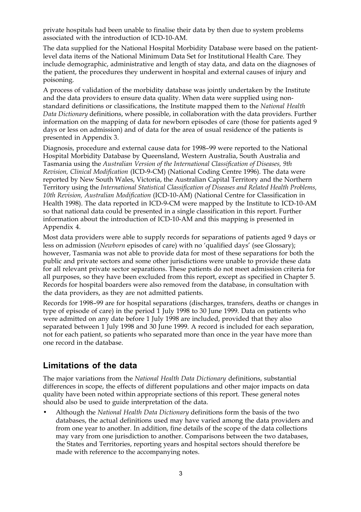private hospitals had been unable to finalise their data by then due to system problems associated with the introduction of ICD-10-AM.

The data supplied for the National Hospital Morbidity Database were based on the patientlevel data items of the National Minimum Data Set for Institutional Health Care. They include demographic, administrative and length of stay data, and data on the diagnoses of the patient, the procedures they underwent in hospital and external causes of injury and poisoning.

A process of validation of the morbidity database was jointly undertaken by the Institute and the data providers to ensure data quality. When data were supplied using nonstandard definitions or classifications, the Institute mapped them to the *National Health Data Dictionary* definitions, where possible, in collaboration with the data providers. Further information on the mapping of data for newborn episodes of care (those for patients aged 9 days or less on admission) and of data for the area of usual residence of the patients is presented in Appendix 3.

Diagnosis, procedure and external cause data for 1998–99 were reported to the National Hospital Morbidity Database by Queensland, Western Australia, South Australia and Tasmania using the *Australian Version of the International Classification of Diseases, 9th Revision, Clinical Modification* (ICD-9-CM) (National Coding Centre 1996). The data were reported by New South Wales, Victoria, the Australian Capital Territory and the Northern Territory using the *International Statistical Classification of Diseases and Related Health Problems, 10th Revision, Australian Modification* (ICD-10-AM) (National Centre for Classification in Health 1998). The data reported in ICD-9-CM were mapped by the Institute to ICD-10-AM so that national data could be presented in a single classification in this report. Further information about the introduction of ICD-10-AM and this mapping is presented in Appendix 4.

Most data providers were able to supply records for separations of patients aged 9 days or less on admission (*Newborn* episodes of care) with no 'qualified days' (see Glossary); however, Tasmania was not able to provide data for most of these separations for both the public and private sectors and some other jurisdictions were unable to provide these data for all relevant private sector separations. These patients do not meet admission criteria for all purposes, so they have been excluded from this report, except as specified in Chapter 5. Records for hospital boarders were also removed from the database, in consultation with the data providers, as they are not admitted patients.

Records for 1998–99 are for hospital separations (discharges, transfers, deaths or changes in type of episode of care) in the period 1 July 1998 to 30 June 1999. Data on patients who were admitted on any date before 1 July 1998 are included, provided that they also separated between 1 July 1998 and 30 June 1999. A record is included for each separation, not for each patient, so patients who separated more than once in the year have more than one record in the database.

#### **Limitations of the data**

The major variations from the *National Health Data Dictionary* definitions, substantial differences in scope, the effects of different populations and other major impacts on data quality have been noted within appropriate sections of this report. These general notes should also be used to guide interpretation of the data.

• Although the *National Health Data Dictionary* definitions form the basis of the two databases, the actual definitions used may have varied among the data providers and from one year to another. In addition, fine details of the scope of the data collections may vary from one jurisdiction to another. Comparisons between the two databases, the States and Territories, reporting years and hospital sectors should therefore be made with reference to the accompanying notes.